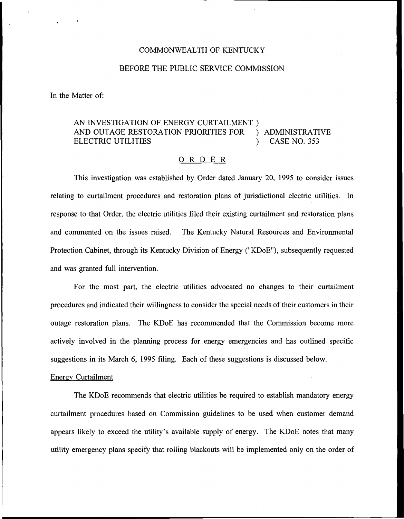#### COMMONWEALTH OF KENTUCKY

#### BEFORE THE PUBLIC SERVICE COMMISSION

In the Matter of:

# AN INVESTIGATION OF ENERGY CURTAILMENT ) AND OUTAGE RESTORATION PRIORITIES FOR ) ADMINISTRATIVE<br>ELECTRIC UTILITIES (253 ELECTRIC UTILITIES

#### ORDER

This investigation was established by Order dated January 20, 1995 to consider issues relating to curtailment procedures and restoration plans of jurisdictional electric utilities, In response to that Order, the electric utilities filed their existing curtailment and restoration plans and commented on the issues raised, The Kentucky Natural Resources and Environmental Protection Cabinet, through its Kentucky Division of Energy ("KDoE"), subsequently requested and was granted full intervention.

For the most part, the electric utilities advocated no changes to their curtailment procedures and indicated their willingness to consider the special needs oftheir customers in their outage restoration plans. The KDoE has recommended that the Commission become more actively involved in the planning process for energy emergencies and has outlined specific suggestions in its March 6, 1995 filing. Each of these suggestions is discussed below.

#### Enerev Curtailment

The KDoE recommends that electric utilities be required to establish mandatory energy curtailment procedures based on Commission guidelines to be used when customer demand appears likely to exceed the utility's available supply of energy. The KDoE notes that many utility emergency plans specify that rolling blackouts will be implemented only on the order of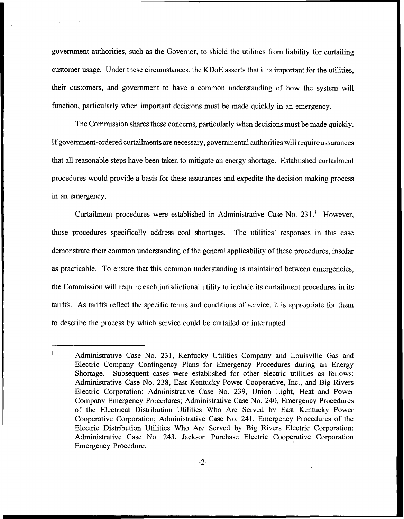government authorities, such as the Governor, to shield the utilities from liability for curtailing customer usage. Under these circumstances, the KDoE asserts that it is important for the utilities, their customers, and government to have a common understanding of how the system will function, particularly when important decisions must be made quickly in an emergency.

The Commission shares these concerns, particularly when decisions must be made quickly. If government-ordered curtailments are necessary, governmental authorities will require assurances that all reasonable steps have been taken to mitigate an energy shortage. Established curtailment procedures would provide a basis for these assurances and expedite the decision making process in an emergency.

Curtailment procedures were established in Administrative Case No. 231.<sup>1</sup> However, those procedures specifically address coal shortages. The utilities' responses in this case demonstrate their common understanding of the general applicability of these procedures, insofar as practicable. To ensure that this common understanding is maintained between emergencies, the Commission will require each jurisdictional utility to include its curtailment procedures in its tariffs. As tariffs reflect the specific terms and conditions of service, it is appropriate for them to describe the process by which service could be curtailed or interrupted.

 $\mathbf{1}$ Administrative Case No. 231, Kentucky Utilities Company and Louisville Gas and Electric Company Contingency Plans for Emergency Procedures during an Energy Shortage. Subsequent cases were established for other electric utilities as follows: Administrative Case No. 23S, East Kentucky Power Cooperative, Inc., and Big Rivers Electric Corporation; Administrative Case No. 239, Union Light, Heat and Power Company Emergency Procedures; Administrative Case No. 240, Emergency Procedures of the Electrical Distribution Utilities Who Are Served by East Kentucky Power Cooperative Corporation; Administrative Case No. 241, Emergency Procedures of the Electric Distribution Utilities Who Are Served by Big Rivers Electric Corporation; Administrative Case No. 243, Jackson Purchase Electric Cooperative Corporation Emergency Procedure.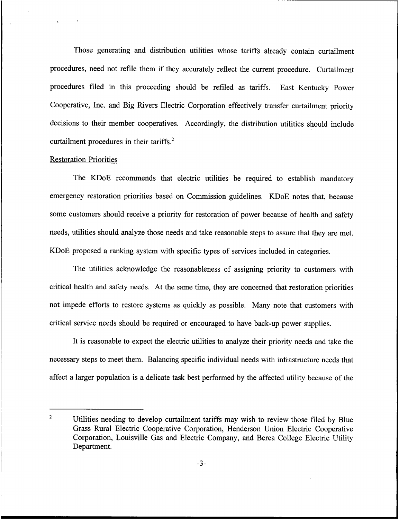Those generating and distribution utilities whose tariffs already contain curtailment procedures, need not refile them if they accurately reflect the current procedure. Curtailment procedures filed in this proceeding should be refiled as tariffs. East Kentucky Power Cooperative, Inc. and Big Rivers Electric Corporation effectively transfer curtailment priority decisions to their member cooperatives. Accordingly, the distribution utilities should include curtailment procedures in their tariffs.<sup>2</sup>

## **Restoration Priorities**

The KDoE recommends that electric utilities be required to establish mandatory emergency restoration priorities based on Commission guidelines. KDoE notes that, because some customers should receive a priority for restoration of power because of health and safety needs, utilities should analyze those needs and take reasonable steps to assure that they are met. KDoE proposed a ranking system with specific types of services included in categories.

The utilities acknowledge the reasonableness of assigning priority to customers with critical health and safety needs. At the same time, they are concerned that restoration priorities not impede efforts to restore systems as quickly as possible. Many note that customers with critical service needs should be required or encouraged to have back-up power supplies.

It is reasonable to expect the electric utilities to analyze their priority needs and take the necessary steps to meet them. Balancing specific individual needs with infrastructure needs that affect a larger population is a delicate task best performed by the affected utility because of the

 $\overline{2}$ Utilities needing to develop curtailment tariffs may wish to review those filed by Blue Grass Rural Electric Cooperative Corporation, Henderson Union Electric Cooperative Corporation, Louisville Gas and Electric Company, and Berea College Electric Utility Department.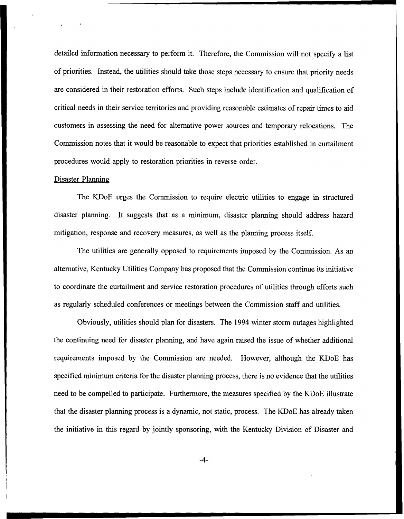detailed information necessary to perform it. Therefore, the Commission will not specify a list of priorities. Instead, the utilities should take those steps necessary to ensure that priority needs are considered in their restoration efforts. Such steps include identification and qualification of critical needs in their service territories and providing reasonable estimates of repair times to aid customers in assessing the need for alternative power sources and temporary relocations. The Commission notes that it would be reasonable to expect that priorities established in curtailment procedures would apply to restoration priorities in reverse order.

## Disaster Plannine

The KDoE urges the Commission to require electric utilities to engage in structured disaster planning. It suggests that as a minimum, disaster planning should address hazard mitigation, response and recovery measures, as well as the planning process itself.

The utilities are generally opposed to requirements imposed by the Commission. As an alternative, Kentucky Utilities Company has proposed that the Commission continue its initiative to coordinate the curtailment and service restoration procedures of utilities through efforts such as regularly scheduled conferences or meetings between the Commission staff and utilities.

Obviously, utilities should plan for disasters. The 1994 winter storm outages highlighted the continuing need for disaster planning, and have again raised the issue of whether additional requirements imposed by the Commission are needed. However, although the KDoE has specified minimum criteria for the disaster planning process, there is no evidence that the utilities need to be compelled to participate. Furthermore, the measures specified by the KDoE illustrate that the disaster planning process is a dynamic, not static, process. The KDoE has already taken the initiative in this regard by jointly sponsoring, with the Kentucky Division of Disaster and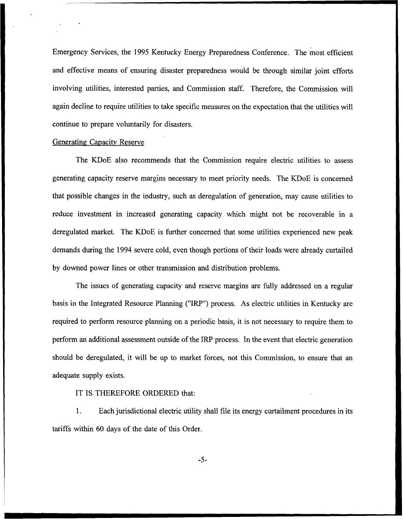Emergency Services, the 1995 Kentucky Energy Preparedness Conference. The most efficient and effective means of ensuring disaster preparedness would be through similar joint efforts involving utilities, interested parties, and Commission staff. Therefore, the Commission will again decline to require utilities to take specific measures on the expectation that the utilities will continue to prepare voluntarily for disasters.

### Generating Capacitv Reserve

The KDoE also recommends that the Commission require electric utilities to assess generating capacity reserve margins necessary to meet priority needs. The KDoE is concerned that possible changes in the industry, such as deregulation of generation, may cause utilities to reduce investment in increased generating capacity which might not be recoverable in a deregulated market. The KDoE is further concerned that some utilities experienced new peak demands during the 1994 severe cold, even though portions of their loads were already curtailed by downed power lines or other transmission and distribution problems.

The issues of generating capacity and reserve margins are fully addressed on a regular basis in the Integrated Resource Planning ("IRP") process. As electric utilities in Kentucky are required to perform resource planning on a periodic basis, it is not necessary to require them to perform an additional assessment outside of the IRP process. In the event that electric generation should be deregulated, it will be up to market forces, not this Commission, to ensure that an adequate supply exists.

# IT IS THEREFORE ORDERED that:

1. Each jurisdictional electric utility shall file its energy curtailment procedures in its tariffs within 60 days of the date of this Order.